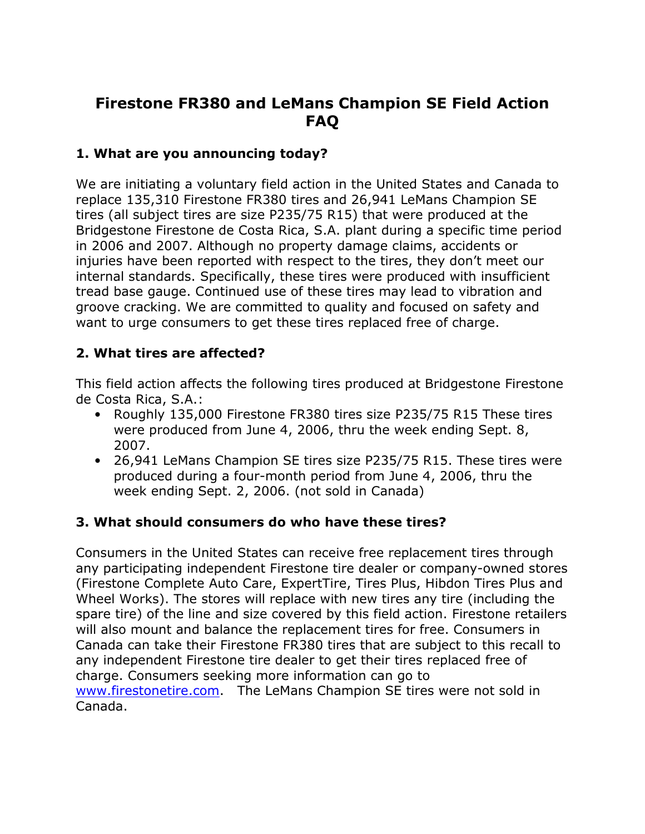# Firestone FR380 and LeMans Champion SE Field Action FAQ

## 1. What are you announcing today?

We are initiating a voluntary field action in the United States and Canada to replace 135,310 Firestone FR380 tires and 26,941 LeMans Champion SE tires (all subject tires are size P235/75 R15) that were produced at the Bridgestone Firestone de Costa Rica, S.A. plant during a specific time period in 2006 and 2007. Although no property damage claims, accidents or injuries have been reported with respect to the tires, they don't meet our internal standards. Specifically, these tires were produced with insufficient tread base gauge. Continued use of these tires may lead to vibration and groove cracking. We are committed to quality and focused on safety and want to urge consumers to get these tires replaced free of charge.

# 2. What tires are affected?

This field action affects the following tires produced at Bridgestone Firestone de Costa Rica, S.A.:

- Roughly 135,000 Firestone FR380 tires size P235/75 R15 These tires were produced from June 4, 2006, thru the week ending Sept. 8, 2007.
- 26,941 LeMans Champion SE tires size P235/75 R15. These tires were produced during a four-month period from June 4, 2006, thru the week ending Sept. 2, 2006. (not sold in Canada)

## 3. What should consumers do who have these tires?

Consumers in the United States can receive free replacement tires through any participating independent Firestone tire dealer or company-owned stores (Firestone Complete Auto Care, ExpertTire, Tires Plus, Hibdon Tires Plus and Wheel Works). The stores will replace with new tires any tire (including the spare tire) of the line and size covered by this field action. Firestone retailers will also mount and balance the replacement tires for free. Consumers in Canada can take their Firestone FR380 tires that are subject to this recall to any independent Firestone tire dealer to get their tires replaced free of charge. Consumers seeking more information can go to www.firestonetire.com. The LeMans Champion SE tires were not sold in Canada.